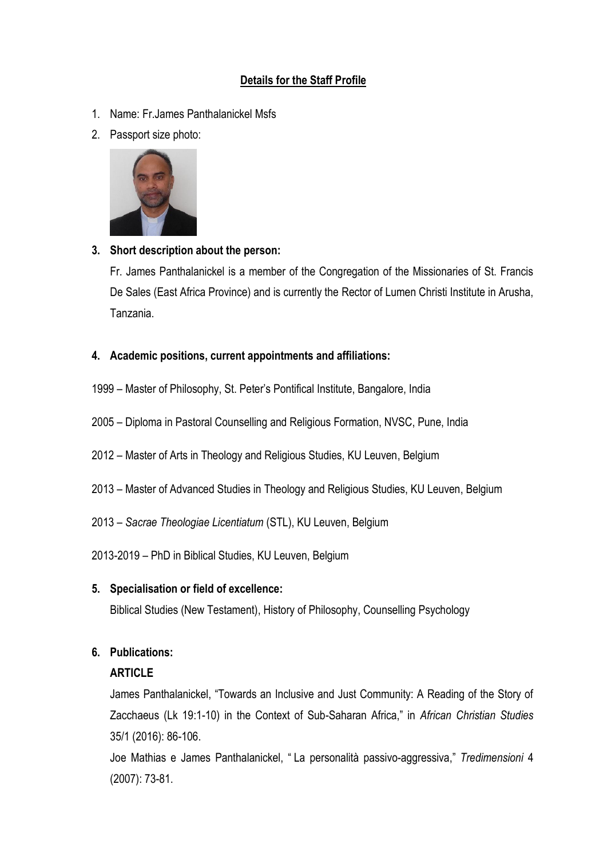# **Details for the Staff Profile**

- 1. Name: Fr.James Panthalanickel Msfs
- 2. Passport size photo:



### **3. Short description about the person:**

Fr. James Panthalanickel is a member of the Congregation of the Missionaries of St. Francis De Sales (East Africa Province) and is currently the Rector of Lumen Christi Institute in Arusha, Tanzania.

### **4. Academic positions, current appointments and affiliations:**

- 1999 Master of Philosophy, St. Peter's Pontifical Institute, Bangalore, India
- 2005 Diploma in Pastoral Counselling and Religious Formation, NVSC, Pune, India
- 2012 Master of Arts in Theology and Religious Studies, KU Leuven, Belgium
- 2013 Master of Advanced Studies in Theology and Religious Studies, KU Leuven, Belgium
- 2013 *Sacrae Theologiae Licentiatum* (STL), KU Leuven, Belgium
- 2013-2019 PhD in Biblical Studies, KU Leuven, Belgium

#### **5. Specialisation or field of excellence:**

Biblical Studies (New Testament), History of Philosophy, Counselling Psychology

### **6. Publications:**

#### **ARTICLE**

James Panthalanickel, "Towards an Inclusive and Just Community: A Reading of the Story of Zacchaeus (Lk 19:1-10) in the Context of Sub-Saharan Africa," in *African Christian Studies* 35/1 (2016): 86-106.

Joe Mathias e James Panthalanickel, " La personalità passivo-aggressiva," *Tredimensioni* 4 (2007): 73-81.